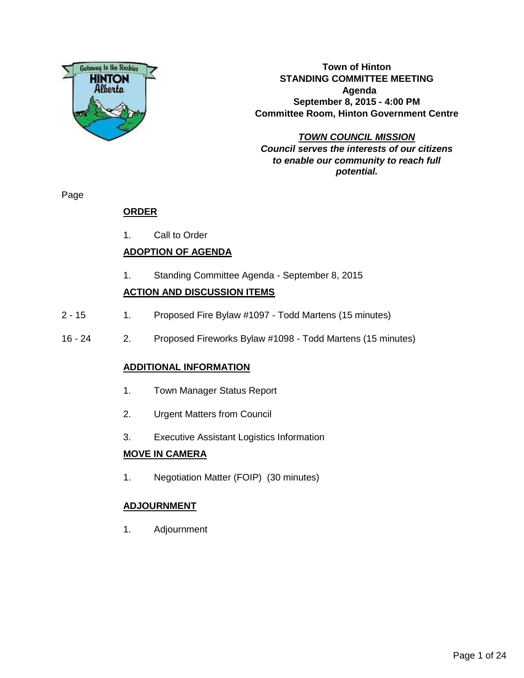

**Town of Hinton STANDING COMMITTEE MEETING Agenda September 8, 2015 - 4:00 PM Committee Room, Hinton Government Centre**

**TOWN COUNCIL MISSION Council serves the interests of our citizens to enable our community to reach full potential.**

Page

# **ORDER**

1. Call to Order

# **ADOPTION OF AGENDA**

1. Standing Committee Agenda - September 8, 2015

## **ACTION AND DISCUSSION ITEMS**

- 2 15 1. Proposed Fire Bylaw #1097 Todd Martens (15 minutes)
- 16 24 2. Proposed Fireworks Bylaw #1098 Todd Martens (15 minutes)

## **ADDITIONAL INFORMATION**

- 1. Town Manager Status Report
- 2. Urgent Matters from Council
- 3. Executive Assistant Logistics Information

#### **MOVE IN CAMERA**

1. Negotiation Matter (FOIP) (30 minutes)

## **ADJOURNMENT**

1. Adjournment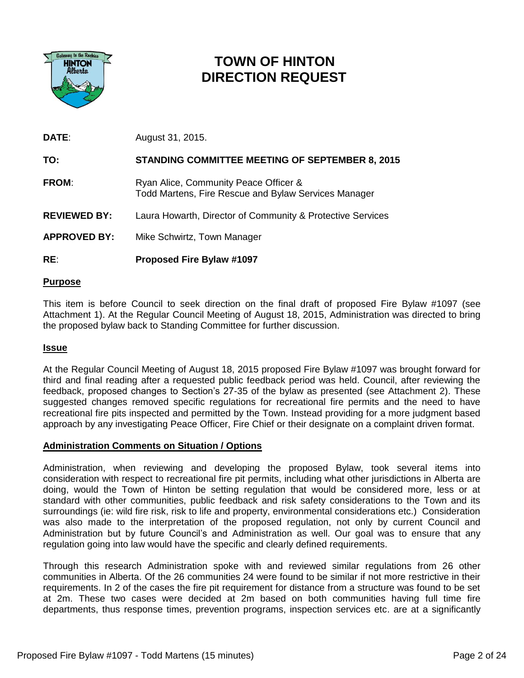

# **TOWN OF HINTON DIRECTION REQUEST**

| <b>DATE:</b>        | August 31, 2015.                                                                              |
|---------------------|-----------------------------------------------------------------------------------------------|
| TO:                 | <b>STANDING COMMITTEE MEETING OF SEPTEMBER 8, 2015</b>                                        |
| <b>FROM:</b>        | Ryan Alice, Community Peace Officer &<br>Todd Martens, Fire Rescue and Bylaw Services Manager |
| <b>REVIEWED BY:</b> | Laura Howarth, Director of Community & Protective Services                                    |
| <b>APPROVED BY:</b> | Mike Schwirtz, Town Manager                                                                   |

## **RE**: **Proposed Fire Bylaw #1097**

#### **Purpose**

This item is before Council to seek direction on the final draft of proposed Fire Bylaw #1097 (see Attachment 1). At the Regular Council Meeting of August 18, 2015, Administration was directed to bring the proposed bylaw back to Standing Committee for further discussion.

#### **Issue**

At the Regular Council Meeting of August 18, 2015 proposed Fire Bylaw #1097 was brought forward for third and final reading after a requested public feedback period was held. Council, after reviewing the feedback, proposed changes to Section's 27-35 of the bylaw as presented (see Attachment 2). These suggested changes removed specific regulations for recreational fire permits and the need to have recreational fire pits inspected and permitted by the Town. Instead providing for a more judgment based approach by any investigating Peace Officer, Fire Chief or their designate on a complaint driven format.

#### **Administration Comments on Situation / Options**

Administration, when reviewing and developing the proposed Bylaw, took several items into consideration with respect to recreational fire pit permits, including what other jurisdictions in Alberta are doing, would the Town of Hinton be setting regulation that would be considered more, less or at standard with other communities, public feedback and risk safety considerations to the Town and its surroundings (ie: wild fire risk, risk to life and property, environmental considerations etc.) Consideration was also made to the interpretation of the proposed regulation, not only by current Council and Administration but by future Council's and Administration as well. Our goal was to ensure that any regulation going into law would have the specific and clearly defined requirements.

Through this research Administration spoke with and reviewed similar regulations from 26 other communities in Alberta. Of the 26 communities 24 were found to be similar if not more restrictive in their requirements. In 2 of the cases the fire pit requirement for distance from a structure was found to be set at 2m. These two cases were decided at 2m based on both communities having full time fire departments, thus response times, prevention programs, inspection services etc. are at a significantly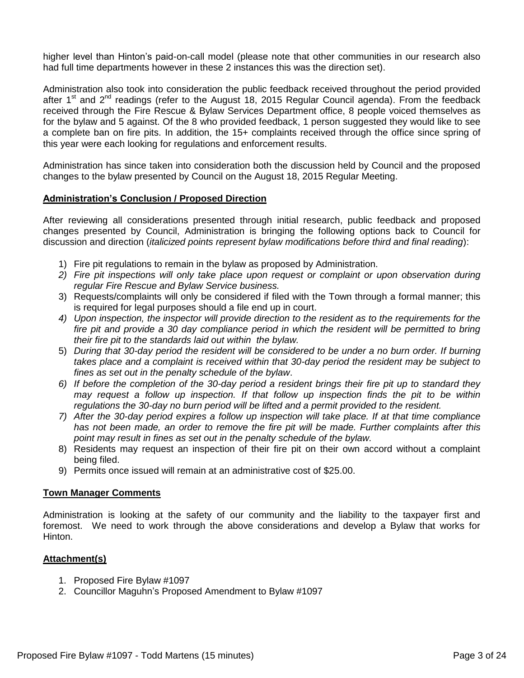higher level than Hinton's paid-on-call model (please note that other communities in our research also had full time departments however in these 2 instances this was the direction set).

Administration also took into consideration the public feedback received throughout the period provided after  $1<sup>st</sup>$  and  $2<sup>nd</sup>$  readings (refer to the August 18, 2015 Regular Council agenda). From the feedback received through the Fire Rescue & Bylaw Services Department office, 8 people voiced themselves as for the bylaw and 5 against. Of the 8 who provided feedback, 1 person suggested they would like to see a complete ban on fire pits. In addition, the 15+ complaints received through the office since spring of this year were each looking for regulations and enforcement results.

Administration has since taken into consideration both the discussion held by Council and the proposed changes to the bylaw presented by Council on the August 18, 2015 Regular Meeting.

#### **Administration's Conclusion / Proposed Direction**

After reviewing all considerations presented through initial research, public feedback and proposed changes presented by Council, Administration is bringing the following options back to Council for discussion and direction (*italicized points represent bylaw modifications before third and final reading*):

- 1) Fire pit regulations to remain in the bylaw as proposed by Administration.
- *2) Fire pit inspections will only take place upon request or complaint or upon observation during regular Fire Rescue and Bylaw Service business.*
- 3) Requests/complaints will only be considered if filed with the Town through a formal manner; this is required for legal purposes should a file end up in court.
- *4) Upon inspection, the inspector will provide direction to the resident as to the requirements for the*  fire pit and provide a 30 day compliance period in which the resident will be permitted to bring *their fire pit to the standards laid out within the bylaw.*
- 5) *During that 30-day period the resident will be considered to be under a no burn order. If burning takes place and a complaint is received within that 30-day period the resident may be subject to fines as set out in the penalty schedule of the bylaw*.
- *6) If before the completion of the 30-day period a resident brings their fire pit up to standard they may request a follow up inspection. If that follow up inspection finds the pit to be within regulations the 30-day no burn period will be lifted and a permit provided to the resident.*
- *7) After the 30-day period expires a follow up inspection will take place. If at that time compliance has not been made, an order to remove the fire pit will be made. Further complaints after this point may result in fines as set out in the penalty schedule of the bylaw.*
- 8) Residents may request an inspection of their fire pit on their own accord without a complaint being filed.
- 9) Permits once issued will remain at an administrative cost of \$25.00.

#### **Town Manager Comments**

Administration is looking at the safety of our community and the liability to the taxpayer first and foremost. We need to work through the above considerations and develop a Bylaw that works for Hinton.

#### **Attachment(s)**

- 1. Proposed Fire Bylaw #1097
- 2. Councillor Maguhn's Proposed Amendment to Bylaw #1097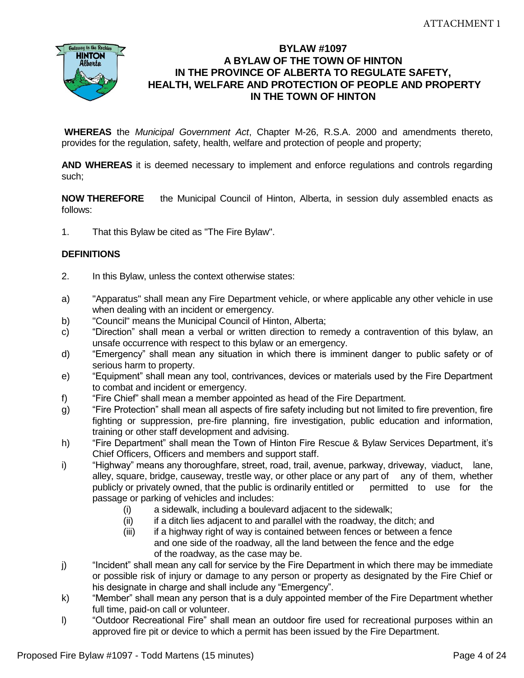

## **BYLAW #1097 A BYLAW OF THE TOWN OF HINTON IN THE PROVINCE OF ALBERTA TO REGULATE SAFETY, HEALTH, WELFARE AND PROTECTION OF PEOPLE AND PROPERTY IN THE TOWN OF HINTON**

**WHEREAS** the *Municipal Government Act*, Chapter M-26, R.S.A. 2000 and amendments thereto, provides for the regulation, safety, health, welfare and protection of people and property;

**AND WHEREAS** it is deemed necessary to implement and enforce regulations and controls regarding such;

**NOW THEREFORE** the Municipal Council of Hinton, Alberta, in session duly assembled enacts as follows:

1. That this Bylaw be cited as "The Fire Bylaw".

## **DEFINITIONS**

- 2. In this Bylaw, unless the context otherwise states:
- a) "Apparatus" shall mean any Fire Department vehicle, or where applicable any other vehicle in use when dealing with an incident or emergency.
- b) "Council" means the Municipal Council of Hinton, Alberta;
- c) "Direction" shall mean a verbal or written direction to remedy a contravention of this bylaw, an unsafe occurrence with respect to this bylaw or an emergency.
- d) "Emergency" shall mean any situation in which there is imminent danger to public safety or of serious harm to property.
- e) "Equipment" shall mean any tool, contrivances, devices or materials used by the Fire Department to combat and incident or emergency.
- f) "Fire Chief" shall mean a member appointed as head of the Fire Department.
- g) "Fire Protection" shall mean all aspects of fire safety including but not limited to fire prevention, fire fighting or suppression, pre-fire planning, fire investigation, public education and information, training or other staff development and advising.
- h) "Fire Department" shall mean the Town of Hinton Fire Rescue & Bylaw Services Department, it's Chief Officers, Officers and members and support staff.
- i) "Highway" means any thoroughfare, street, road, trail, avenue, parkway, driveway, viaduct, lane, alley, square, bridge, causeway, trestle way, or other place or any part of any of them, whether publicly or privately owned, that the public is ordinarily entitled or permitted to use for the passage or parking of vehicles and includes:
	- (i) a sidewalk, including a boulevard adjacent to the sidewalk;
	- (ii) if a ditch lies adjacent to and parallel with the roadway, the ditch; and
	- (iii) if a highway right of way is contained between fences or between a fence and one side of the roadway, all the land between the fence and the edge of the roadway, as the case may be.
- j) "Incident" shall mean any call for service by the Fire Department in which there may be immediate or possible risk of injury or damage to any person or property as designated by the Fire Chief or his designate in charge and shall include any "Emergency".
- k) "Member" shall mean any person that is a duly appointed member of the Fire Department whether full time, paid-on call or volunteer.
- l) "Outdoor Recreational Fire" shall mean an outdoor fire used for recreational purposes within an approved fire pit or device to which a permit has been issued by the Fire Department.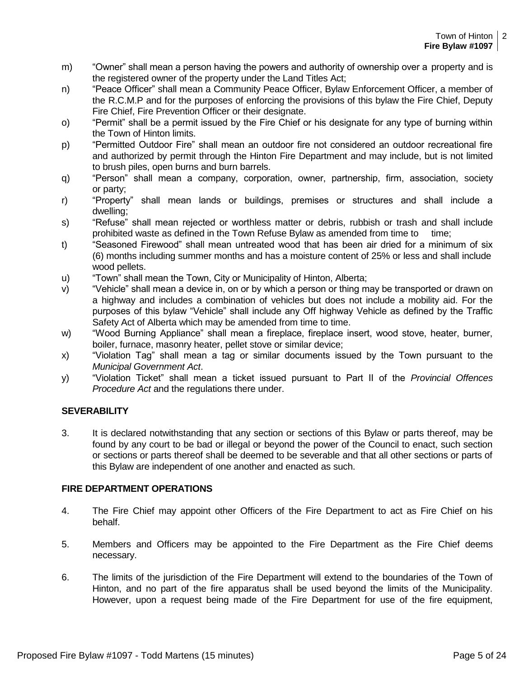- m) "Owner" shall mean a person having the powers and authority of ownership over a property and is the registered owner of the property under the Land Titles Act;
- n) "Peace Officer" shall mean a Community Peace Officer, Bylaw Enforcement Officer, a member of the R.C.M.P and for the purposes of enforcing the provisions of this bylaw the Fire Chief, Deputy Fire Chief, Fire Prevention Officer or their designate.
- o) "Permit" shall be a permit issued by the Fire Chief or his designate for any type of burning within the Town of Hinton limits.
- p) "Permitted Outdoor Fire" shall mean an outdoor fire not considered an outdoor recreational fire and authorized by permit through the Hinton Fire Department and may include, but is not limited to brush piles, open burns and burn barrels.
- q) "Person" shall mean a company, corporation, owner, partnership, firm, association, society or party;
- r) "Property" shall mean lands or buildings, premises or structures and shall include a dwelling;
- s) "Refuse" shall mean rejected or worthless matter or debris, rubbish or trash and shall include prohibited waste as defined in the Town Refuse Bylaw as amended from time to time;
- t) "Seasoned Firewood" shall mean untreated wood that has been air dried for a minimum of six (6) months including summer months and has a moisture content of 25% or less and shall include wood pellets.
- u) "Town" shall mean the Town, City or Municipality of Hinton, Alberta;
- v) "Vehicle" shall mean a device in, on or by which a person or thing may be transported or drawn on a highway and includes a combination of vehicles but does not include a mobility aid. For the purposes of this bylaw "Vehicle" shall include any Off highway Vehicle as defined by the Traffic Safety Act of Alberta which may be amended from time to time.
- w) "Wood Burning Appliance" shall mean a fireplace, fireplace insert, wood stove, heater, burner, boiler, furnace, masonry heater, pellet stove or similar device;
- x) "Violation Tag" shall mean a tag or similar documents issued by the Town pursuant to the *Municipal Government Act*.
- y) "Violation Ticket" shall mean a ticket issued pursuant to Part II of the *Provincial Offences Procedure Act* and the regulations there under.

## **SEVERABILITY**

3. It is declared notwithstanding that any section or sections of this Bylaw or parts thereof, may be found by any court to be bad or illegal or beyond the power of the Council to enact, such section or sections or parts thereof shall be deemed to be severable and that all other sections or parts of this Bylaw are independent of one another and enacted as such.

#### **FIRE DEPARTMENT OPERATIONS**

- 4. The Fire Chief may appoint other Officers of the Fire Department to act as Fire Chief on his behalf.
- 5. Members and Officers may be appointed to the Fire Department as the Fire Chief deems necessary.
- 6. The limits of the jurisdiction of the Fire Department will extend to the boundaries of the Town of Hinton, and no part of the fire apparatus shall be used beyond the limits of the Municipality. However, upon a request being made of the Fire Department for use of the fire equipment,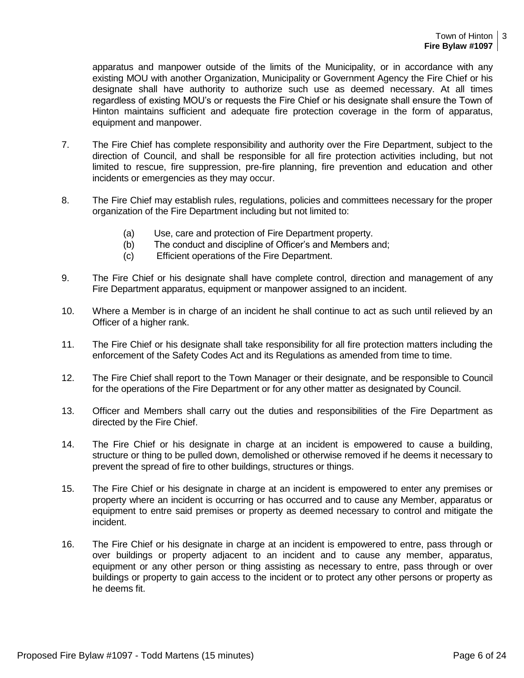apparatus and manpower outside of the limits of the Municipality, or in accordance with any existing MOU with another Organization, Municipality or Government Agency the Fire Chief or his designate shall have authority to authorize such use as deemed necessary. At all times regardless of existing MOU's or requests the Fire Chief or his designate shall ensure the Town of Hinton maintains sufficient and adequate fire protection coverage in the form of apparatus, equipment and manpower.

- 7. The Fire Chief has complete responsibility and authority over the Fire Department, subject to the direction of Council, and shall be responsible for all fire protection activities including, but not limited to rescue, fire suppression, pre-fire planning, fire prevention and education and other incidents or emergencies as they may occur.
- 8. The Fire Chief may establish rules, regulations, policies and committees necessary for the proper organization of the Fire Department including but not limited to:
	- (a) Use, care and protection of Fire Department property.
	- (b) The conduct and discipline of Officer's and Members and;
	- (c) Efficient operations of the Fire Department.
- 9. The Fire Chief or his designate shall have complete control, direction and management of any Fire Department apparatus, equipment or manpower assigned to an incident.
- 10. Where a Member is in charge of an incident he shall continue to act as such until relieved by an Officer of a higher rank.
- 11. The Fire Chief or his designate shall take responsibility for all fire protection matters including the enforcement of the Safety Codes Act and its Regulations as amended from time to time.
- 12. The Fire Chief shall report to the Town Manager or their designate, and be responsible to Council for the operations of the Fire Department or for any other matter as designated by Council.
- 13. Officer and Members shall carry out the duties and responsibilities of the Fire Department as directed by the Fire Chief.
- 14. The Fire Chief or his designate in charge at an incident is empowered to cause a building, structure or thing to be pulled down, demolished or otherwise removed if he deems it necessary to prevent the spread of fire to other buildings, structures or things.
- 15. The Fire Chief or his designate in charge at an incident is empowered to enter any premises or property where an incident is occurring or has occurred and to cause any Member, apparatus or equipment to entre said premises or property as deemed necessary to control and mitigate the incident.
- 16. The Fire Chief or his designate in charge at an incident is empowered to entre, pass through or over buildings or property adjacent to an incident and to cause any member, apparatus, equipment or any other person or thing assisting as necessary to entre, pass through or over buildings or property to gain access to the incident or to protect any other persons or property as he deems fit.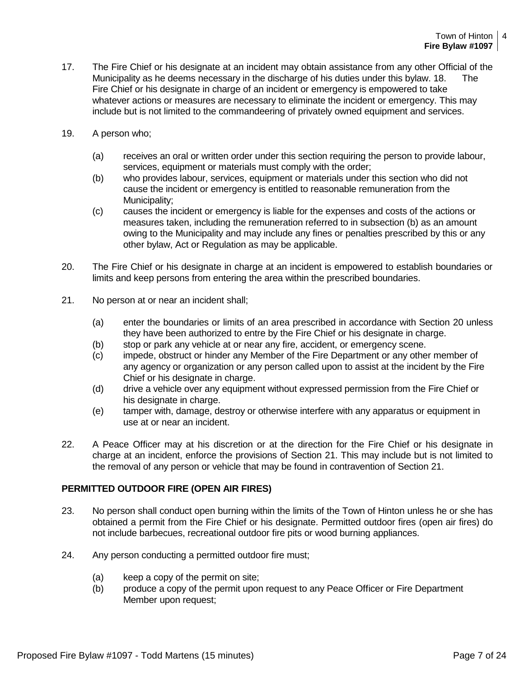- 17. The Fire Chief or his designate at an incident may obtain assistance from any other Official of the Municipality as he deems necessary in the discharge of his duties under this bylaw. 18. The Fire Chief or his designate in charge of an incident or emergency is empowered to take whatever actions or measures are necessary to eliminate the incident or emergency. This may include but is not limited to the commandeering of privately owned equipment and services.
- 19. A person who;
	- (a) receives an oral or written order under this section requiring the person to provide labour, services, equipment or materials must comply with the order;
	- (b) who provides labour, services, equipment or materials under this section who did not cause the incident or emergency is entitled to reasonable remuneration from the Municipality;
	- (c) causes the incident or emergency is liable for the expenses and costs of the actions or measures taken, including the remuneration referred to in subsection (b) as an amount owing to the Municipality and may include any fines or penalties prescribed by this or any other bylaw, Act or Regulation as may be applicable.
- 20. The Fire Chief or his designate in charge at an incident is empowered to establish boundaries or limits and keep persons from entering the area within the prescribed boundaries.
- 21. No person at or near an incident shall;
	- (a) enter the boundaries or limits of an area prescribed in accordance with Section 20 unless they have been authorized to entre by the Fire Chief or his designate in charge.
	- (b) stop or park any vehicle at or near any fire, accident, or emergency scene.
	- (c) impede, obstruct or hinder any Member of the Fire Department or any other member of any agency or organization or any person called upon to assist at the incident by the Fire Chief or his designate in charge.
	- (d) drive a vehicle over any equipment without expressed permission from the Fire Chief or his designate in charge.
	- (e) tamper with, damage, destroy or otherwise interfere with any apparatus or equipment in use at or near an incident.
- 22. A Peace Officer may at his discretion or at the direction for the Fire Chief or his designate in charge at an incident, enforce the provisions of Section 21. This may include but is not limited to the removal of any person or vehicle that may be found in contravention of Section 21.

#### **PERMITTED OUTDOOR FIRE (OPEN AIR FIRES)**

- 23. No person shall conduct open burning within the limits of the Town of Hinton unless he or she has obtained a permit from the Fire Chief or his designate. Permitted outdoor fires (open air fires) do not include barbecues, recreational outdoor fire pits or wood burning appliances.
- 24. Any person conducting a permitted outdoor fire must;
	- (a) keep a copy of the permit on site;
	- (b) produce a copy of the permit upon request to any Peace Officer or Fire Department Member upon request;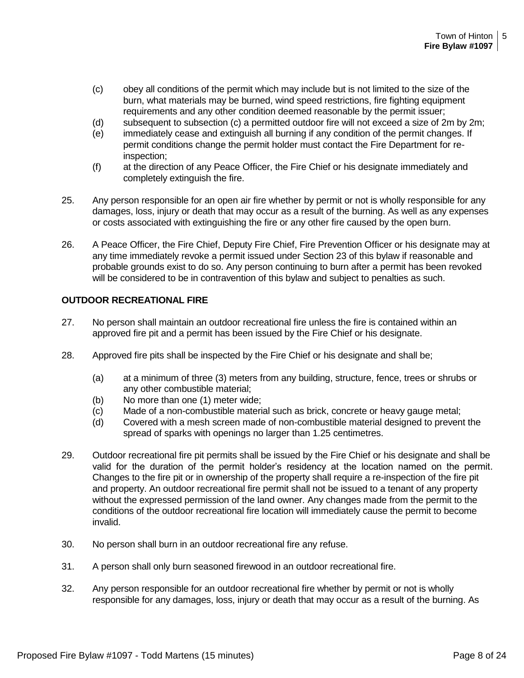- (c) obey all conditions of the permit which may include but is not limited to the size of the burn, what materials may be burned, wind speed restrictions, fire fighting equipment requirements and any other condition deemed reasonable by the permit issuer;
- (d) subsequent to subsection (c) a permitted outdoor fire will not exceed a size of 2m by 2m;
- (e) immediately cease and extinguish all burning if any condition of the permit changes. If permit conditions change the permit holder must contact the Fire Department for reinspection;
- (f) at the direction of any Peace Officer, the Fire Chief or his designate immediately and completely extinguish the fire.
- 25. Any person responsible for an open air fire whether by permit or not is wholly responsible for any damages, loss, injury or death that may occur as a result of the burning. As well as any expenses or costs associated with extinguishing the fire or any other fire caused by the open burn.
- 26. A Peace Officer, the Fire Chief, Deputy Fire Chief, Fire Prevention Officer or his designate may at any time immediately revoke a permit issued under Section 23 of this bylaw if reasonable and probable grounds exist to do so. Any person continuing to burn after a permit has been revoked will be considered to be in contravention of this bylaw and subject to penalties as such.

#### **OUTDOOR RECREATIONAL FIRE**

- 27. No person shall maintain an outdoor recreational fire unless the fire is contained within an approved fire pit and a permit has been issued by the Fire Chief or his designate.
- 28. Approved fire pits shall be inspected by the Fire Chief or his designate and shall be;
	- (a) at a minimum of three (3) meters from any building, structure, fence, trees or shrubs or any other combustible material;
	- (b) No more than one (1) meter wide;
	- (c) Made of a non-combustible material such as brick, concrete or heavy gauge metal;
	- (d) Covered with a mesh screen made of non-combustible material designed to prevent the spread of sparks with openings no larger than 1.25 centimetres.
- 29. Outdoor recreational fire pit permits shall be issued by the Fire Chief or his designate and shall be valid for the duration of the permit holder's residency at the location named on the permit. Changes to the fire pit or in ownership of the property shall require a re-inspection of the fire pit and property. An outdoor recreational fire permit shall not be issued to a tenant of any property without the expressed permission of the land owner. Any changes made from the permit to the conditions of the outdoor recreational fire location will immediately cause the permit to become invalid.
- 30. No person shall burn in an outdoor recreational fire any refuse.
- 31. A person shall only burn seasoned firewood in an outdoor recreational fire.
- 32. Any person responsible for an outdoor recreational fire whether by permit or not is wholly responsible for any damages, loss, injury or death that may occur as a result of the burning. As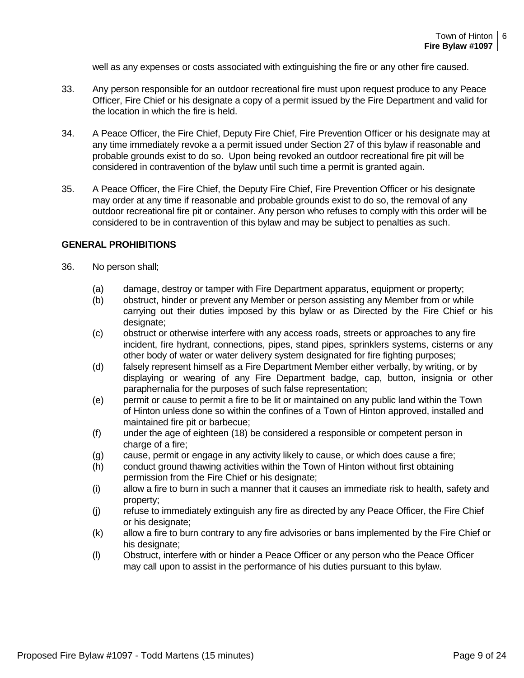well as any expenses or costs associated with extinguishing the fire or any other fire caused.

- 33. Any person responsible for an outdoor recreational fire must upon request produce to any Peace Officer, Fire Chief or his designate a copy of a permit issued by the Fire Department and valid for the location in which the fire is held.
- 34. A Peace Officer, the Fire Chief, Deputy Fire Chief, Fire Prevention Officer or his designate may at any time immediately revoke a a permit issued under Section 27 of this bylaw if reasonable and probable grounds exist to do so. Upon being revoked an outdoor recreational fire pit will be considered in contravention of the bylaw until such time a permit is granted again.
- 35. A Peace Officer, the Fire Chief, the Deputy Fire Chief, Fire Prevention Officer or his designate may order at any time if reasonable and probable grounds exist to do so, the removal of any outdoor recreational fire pit or container. Any person who refuses to comply with this order will be considered to be in contravention of this bylaw and may be subject to penalties as such.

#### **GENERAL PROHIBITIONS**

- 36. No person shall;
	- (a) damage, destroy or tamper with Fire Department apparatus, equipment or property;
	- (b) obstruct, hinder or prevent any Member or person assisting any Member from or while carrying out their duties imposed by this bylaw or as Directed by the Fire Chief or his designate:
	- (c) obstruct or otherwise interfere with any access roads, streets or approaches to any fire incident, fire hydrant, connections, pipes, stand pipes, sprinklers systems, cisterns or any other body of water or water delivery system designated for fire fighting purposes;
	- (d) falsely represent himself as a Fire Department Member either verbally, by writing, or by displaying or wearing of any Fire Department badge, cap, button, insignia or other paraphernalia for the purposes of such false representation;
	- (e) permit or cause to permit a fire to be lit or maintained on any public land within the Town of Hinton unless done so within the confines of a Town of Hinton approved, installed and maintained fire pit or barbecue;
	- (f) under the age of eighteen (18) be considered a responsible or competent person in charge of a fire;
	- (g) cause, permit or engage in any activity likely to cause, or which does cause a fire;
	- (h) conduct ground thawing activities within the Town of Hinton without first obtaining permission from the Fire Chief or his designate;
	- (i) allow a fire to burn in such a manner that it causes an immediate risk to health, safety and property;
	- (j) refuse to immediately extinguish any fire as directed by any Peace Officer, the Fire Chief or his designate;
	- (k) allow a fire to burn contrary to any fire advisories or bans implemented by the Fire Chief or his designate:
	- (l) Obstruct, interfere with or hinder a Peace Officer or any person who the Peace Officer may call upon to assist in the performance of his duties pursuant to this bylaw.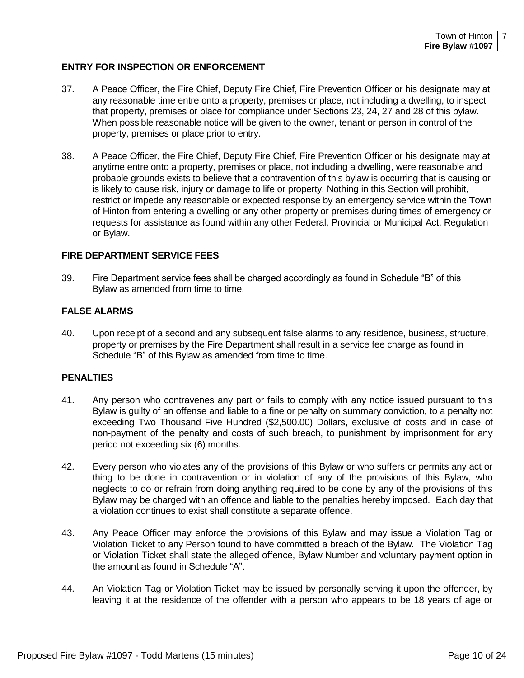#### **ENTRY FOR INSPECTION OR ENFORCEMENT**

- 37. A Peace Officer, the Fire Chief, Deputy Fire Chief, Fire Prevention Officer or his designate may at any reasonable time entre onto a property, premises or place, not including a dwelling, to inspect that property, premises or place for compliance under Sections 23, 24, 27 and 28 of this bylaw. When possible reasonable notice will be given to the owner, tenant or person in control of the property, premises or place prior to entry.
- 38. A Peace Officer, the Fire Chief, Deputy Fire Chief, Fire Prevention Officer or his designate may at anytime entre onto a property, premises or place, not including a dwelling, were reasonable and probable grounds exists to believe that a contravention of this bylaw is occurring that is causing or is likely to cause risk, injury or damage to life or property. Nothing in this Section will prohibit, restrict or impede any reasonable or expected response by an emergency service within the Town of Hinton from entering a dwelling or any other property or premises during times of emergency or requests for assistance as found within any other Federal, Provincial or Municipal Act, Regulation or Bylaw.

#### **FIRE DEPARTMENT SERVICE FEES**

39. Fire Department service fees shall be charged accordingly as found in Schedule "B" of this Bylaw as amended from time to time.

#### **FALSE ALARMS**

40. Upon receipt of a second and any subsequent false alarms to any residence, business, structure, property or premises by the Fire Department shall result in a service fee charge as found in Schedule "B" of this Bylaw as amended from time to time.

#### **PENALTIES**

- 41. Any person who contravenes any part or fails to comply with any notice issued pursuant to this Bylaw is guilty of an offense and liable to a fine or penalty on summary conviction, to a penalty not exceeding Two Thousand Five Hundred (\$2,500.00) Dollars, exclusive of costs and in case of non-payment of the penalty and costs of such breach, to punishment by imprisonment for any period not exceeding six (6) months.
- 42. Every person who violates any of the provisions of this Bylaw or who suffers or permits any act or thing to be done in contravention or in violation of any of the provisions of this Bylaw, who neglects to do or refrain from doing anything required to be done by any of the provisions of this Bylaw may be charged with an offence and liable to the penalties hereby imposed. Each day that a violation continues to exist shall constitute a separate offence.
- 43. Any Peace Officer may enforce the provisions of this Bylaw and may issue a Violation Tag or Violation Ticket to any Person found to have committed a breach of the Bylaw. The Violation Tag or Violation Ticket shall state the alleged offence, Bylaw Number and voluntary payment option in the amount as found in Schedule "A".
- 44. An Violation Tag or Violation Ticket may be issued by personally serving it upon the offender, by leaving it at the residence of the offender with a person who appears to be 18 years of age or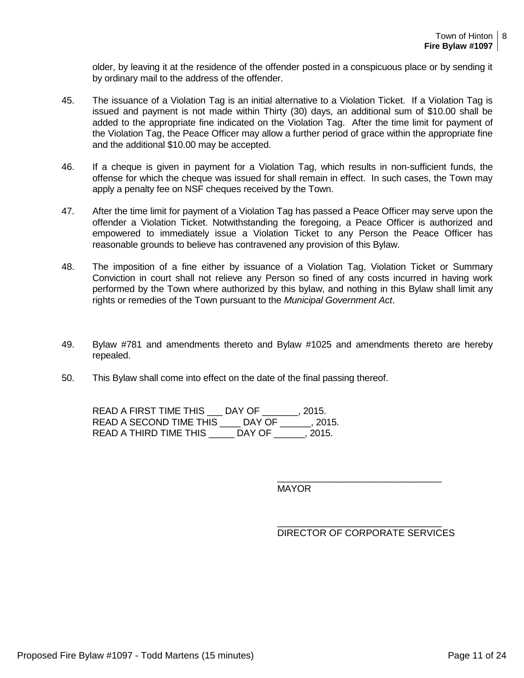older, by leaving it at the residence of the offender posted in a conspicuous place or by sending it by ordinary mail to the address of the offender.

- 45. The issuance of a Violation Tag is an initial alternative to a Violation Ticket. If a Violation Tag is issued and payment is not made within Thirty (30) days, an additional sum of \$10.00 shall be added to the appropriate fine indicated on the Violation Tag. After the time limit for payment of the Violation Tag, the Peace Officer may allow a further period of grace within the appropriate fine and the additional \$10.00 may be accepted.
- 46. If a cheque is given in payment for a Violation Tag, which results in non-sufficient funds, the offense for which the cheque was issued for shall remain in effect. In such cases, the Town may apply a penalty fee on NSF cheques received by the Town.
- 47. After the time limit for payment of a Violation Tag has passed a Peace Officer may serve upon the offender a Violation Ticket. Notwithstanding the foregoing, a Peace Officer is authorized and empowered to immediately issue a Violation Ticket to any Person the Peace Officer has reasonable grounds to believe has contravened any provision of this Bylaw.
- 48. The imposition of a fine either by issuance of a Violation Tag, Violation Ticket or Summary Conviction in court shall not relieve any Person so fined of any costs incurred in having work performed by the Town where authorized by this bylaw, and nothing in this Bylaw shall limit any rights or remedies of the Town pursuant to the *Municipal Government Act*.
- 49. Bylaw #781 and amendments thereto and Bylaw #1025 and amendments thereto are hereby repealed.
- 50. This Bylaw shall come into effect on the date of the final passing thereof.

| READ A FIRST TIME THIS  | DAY OF | . 2015. |
|-------------------------|--------|---------|
| READ A SECOND TIME THIS | DAY OF | . 2015. |
| READ A THIRD TIME THIS  | DAY OF | . 2015. |

**MAYOR** 

| DIRECTOR OF CORPORATE SERVICES |  |
|--------------------------------|--|

\_\_\_\_\_\_\_\_\_\_\_\_\_\_\_\_\_\_\_\_\_\_\_\_\_\_\_\_\_\_\_\_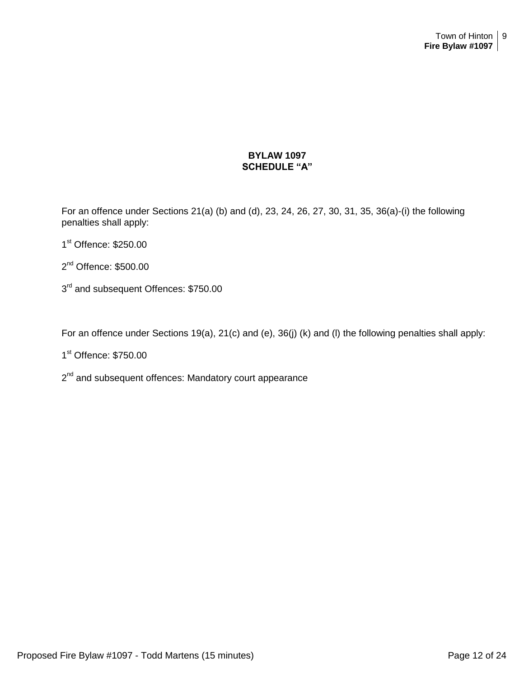#### **BYLAW 1097 SCHEDULE "A"**

For an offence under Sections 21(a) (b) and (d), 23, 24, 26, 27, 30, 31, 35, 36(a)-(i) the following penalties shall apply:

- 1st Offence: \$250.00
- 2<sup>nd</sup> Offence: \$500.00
- 3<sup>rd</sup> and subsequent Offences: \$750.00

For an offence under Sections 19(a), 21(c) and (e), 36(j) (k) and (l) the following penalties shall apply:

1<sup>st</sup> Offence: \$750.00

2<sup>nd</sup> and subsequent offences: Mandatory court appearance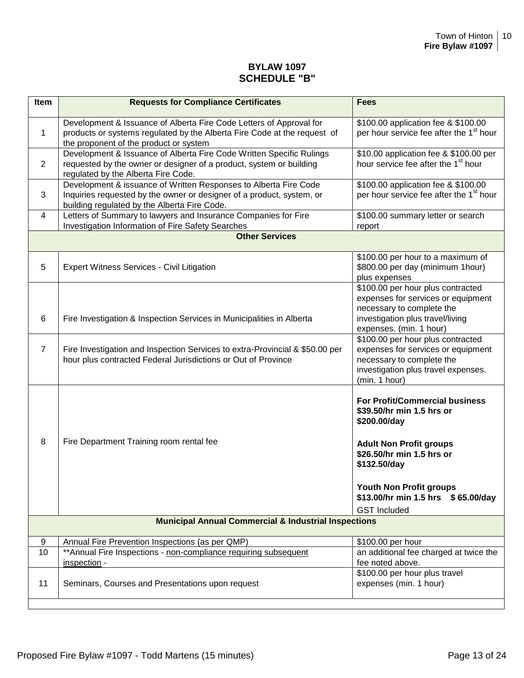## **BYLAW 1097 SCHEDULE "B"**

| Item           | <b>Requests for Compliance Certificates</b>                                                                                                                                               | <b>Fees</b>                                                                                                                                                                                                                 |
|----------------|-------------------------------------------------------------------------------------------------------------------------------------------------------------------------------------------|-----------------------------------------------------------------------------------------------------------------------------------------------------------------------------------------------------------------------------|
| $\mathbf{1}$   | Development & Issuance of Alberta Fire Code Letters of Approval for<br>products or systems regulated by the Alberta Fire Code at the request of<br>the proponent of the product or system | \$100.00 application fee & \$100.00<br>per hour service fee after the 1 <sup>st</sup> hour                                                                                                                                  |
| 2              | Development & Issuance of Alberta Fire Code Written Specific Rulings<br>requested by the owner or designer of a product, system or building<br>regulated by the Alberta Fire Code.        | \$10.00 application fee & \$100.00 per<br>hour service fee after the 1 <sup>st</sup> hour                                                                                                                                   |
| 3              | Development & issuance of Written Responses to Alberta Fire Code<br>Inquiries requested by the owner or designer of a product, system, or<br>building regulated by the Alberta Fire Code. | \$100.00 application fee & \$100.00<br>per hour service fee after the 1 <sup>st</sup> hour                                                                                                                                  |
| 4              | Letters of Summary to lawyers and Insurance Companies for Fire<br>Investigation Information of Fire Safety Searches                                                                       | \$100.00 summary letter or search<br>report                                                                                                                                                                                 |
|                | <b>Other Services</b>                                                                                                                                                                     |                                                                                                                                                                                                                             |
| 5              | <b>Expert Witness Services - Civil Litigation</b>                                                                                                                                         | \$100.00 per hour to a maximum of<br>\$800.00 per day (minimum 1hour)<br>plus expenses                                                                                                                                      |
| 6              | Fire Investigation & Inspection Services in Municipalities in Alberta                                                                                                                     | \$100.00 per hour plus contracted<br>expenses for services or equipment<br>necessary to complete the<br>investigation plus travel/living<br>expenses. (min. 1 hour)                                                         |
| $\overline{7}$ | Fire Investigation and Inspection Services to extra-Provincial & \$50.00 per<br>hour plus contracted Federal Jurisdictions or Out of Province                                             | \$100.00 per hour plus contracted<br>expenses for services or equipment<br>necessary to complete the<br>investigation plus travel expenses.<br>(min. 1 hour)                                                                |
| 8              | Fire Department Training room rental fee                                                                                                                                                  | For Profit/Commercial business<br>\$39.50/hr min 1.5 hrs or<br>\$200.00/day<br><b>Adult Non Profit groups</b><br>\$26.50/hr min 1.5 hrs or<br>\$132.50/day<br>Youth Non Profit groups<br>\$13.00/hr min 1.5 hrs \$65.00/day |
|                |                                                                                                                                                                                           | <b>GST Included</b>                                                                                                                                                                                                         |
|                | <b>Municipal Annual Commercial &amp; Industrial Inspections</b>                                                                                                                           |                                                                                                                                                                                                                             |
| 9              | Annual Fire Prevention Inspections (as per QMP)                                                                                                                                           | \$100.00 per hour                                                                                                                                                                                                           |
| 10             | ** Annual Fire Inspections - non-compliance requiring subsequent<br>inspection -                                                                                                          | an additional fee charged at twice the<br>fee noted above.                                                                                                                                                                  |
| 11             | Seminars, Courses and Presentations upon request                                                                                                                                          | \$100.00 per hour plus travel<br>expenses (min. 1 hour)                                                                                                                                                                     |
|                |                                                                                                                                                                                           |                                                                                                                                                                                                                             |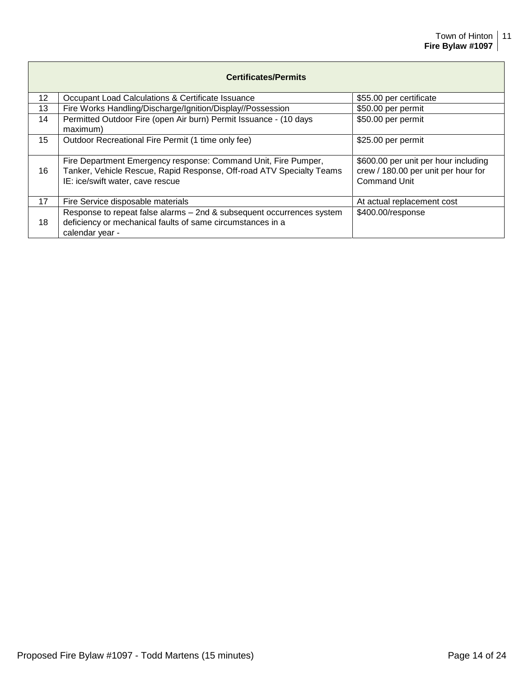| <b>Certificates/Permits</b> |                                                                                                                                                                            |                                                                                                    |  |
|-----------------------------|----------------------------------------------------------------------------------------------------------------------------------------------------------------------------|----------------------------------------------------------------------------------------------------|--|
| 12                          | Occupant Load Calculations & Certificate Issuance                                                                                                                          | \$55.00 per certificate                                                                            |  |
| 13                          | Fire Works Handling/Discharge/Ignition/Display//Possession                                                                                                                 | \$50.00 per permit                                                                                 |  |
| 14                          | Permitted Outdoor Fire (open Air burn) Permit Issuance - (10 days<br>maximum)                                                                                              | \$50.00 per permit                                                                                 |  |
| 15 <sub>2</sub>             | Outdoor Recreational Fire Permit (1 time only fee)                                                                                                                         | \$25.00 per permit                                                                                 |  |
| 16                          | Fire Department Emergency response: Command Unit, Fire Pumper,<br>Tanker, Vehicle Rescue, Rapid Response, Off-road ATV Specialty Teams<br>IE: ice/swift water, cave rescue | \$600.00 per unit per hour including<br>crew / 180.00 per unit per hour for<br><b>Command Unit</b> |  |
| 17                          | Fire Service disposable materials                                                                                                                                          | At actual replacement cost                                                                         |  |
| 18                          | Response to repeat false alarms - 2nd & subsequent occurrences system<br>deficiency or mechanical faults of same circumstances in a<br>calendar year -                     | \$400.00/response                                                                                  |  |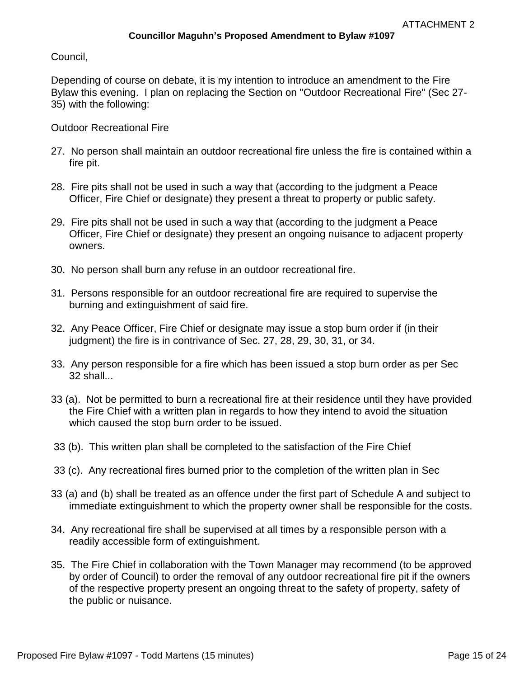Council,

Depending of course on debate, it is my intention to introduce an amendment to the Fire Bylaw this evening. I plan on replacing the Section on "Outdoor Recreational Fire" (Sec 27- 35) with the following:

Outdoor Recreational Fire

- 27. No person shall maintain an outdoor recreational fire unless the fire is contained within a fire pit.
- 28. Fire pits shall not be used in such a way that (according to the judgment a Peace Officer, Fire Chief or designate) they present a threat to property or public safety.
- 29. Fire pits shall not be used in such a way that (according to the judgment a Peace Officer, Fire Chief or designate) they present an ongoing nuisance to adjacent property owners.
- 30. No person shall burn any refuse in an outdoor recreational fire.
- 31. Persons responsible for an outdoor recreational fire are required to supervise the burning and extinguishment of said fire.
- 32. Any Peace Officer, Fire Chief or designate may issue a stop burn order if (in their judgment) the fire is in contrivance of Sec. 27, 28, 29, 30, 31, or 34.
- 33. Any person responsible for a fire which has been issued a stop burn order as per Sec 32 shall...
- 33 (a). Not be permitted to burn a recreational fire at their residence until they have provided the Fire Chief with a written plan in regards to how they intend to avoid the situation which caused the stop burn order to be issued.
- 33 (b). This written plan shall be completed to the satisfaction of the Fire Chief
- 33 (c). Any recreational fires burned prior to the completion of the written plan in Sec
- 33 (a) and (b) shall be treated as an offence under the first part of Schedule A and subject to immediate extinguishment to which the property owner shall be responsible for the costs.
- 34. Any recreational fire shall be supervised at all times by a responsible person with a readily accessible form of extinguishment.
- 35. The Fire Chief in collaboration with the Town Manager may recommend (to be approved by order of Council) to order the removal of any outdoor recreational fire pit if the owners of the respective property present an ongoing threat to the safety of property, safety of the public or nuisance.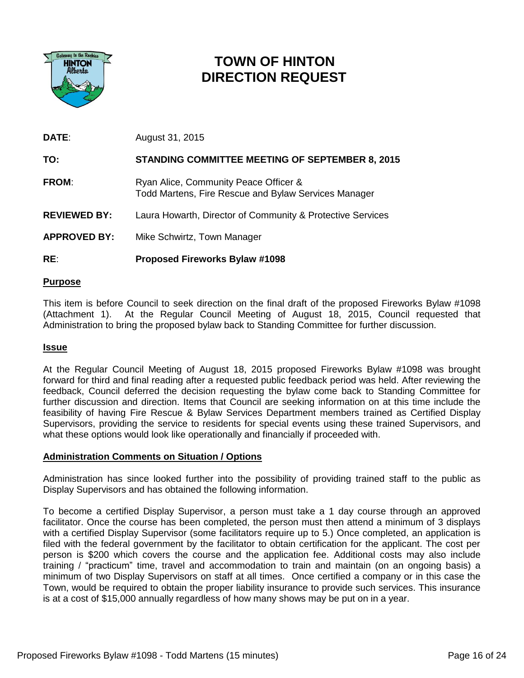

# **TOWN OF HINTON DIRECTION REQUEST**

| <b>DATE:</b>        | August 31, 2015                                                                               |
|---------------------|-----------------------------------------------------------------------------------------------|
| TO:                 | <b>STANDING COMMITTEE MEETING OF SEPTEMBER 8, 2015</b>                                        |
| <b>FROM:</b>        | Ryan Alice, Community Peace Officer &<br>Todd Martens, Fire Rescue and Bylaw Services Manager |
| <b>REVIEWED BY:</b> | Laura Howarth, Director of Community & Protective Services                                    |
| <b>APPROVED BY:</b> | Mike Schwirtz, Town Manager                                                                   |
|                     |                                                                                               |

## **RE**: **Proposed Fireworks Bylaw #1098**

## **Purpose**

This item is before Council to seek direction on the final draft of the proposed Fireworks Bylaw #1098 (Attachment 1). At the Regular Council Meeting of August 18, 2015, Council requested that Administration to bring the proposed bylaw back to Standing Committee for further discussion.

#### **Issue**

At the Regular Council Meeting of August 18, 2015 proposed Fireworks Bylaw #1098 was brought forward for third and final reading after a requested public feedback period was held. After reviewing the feedback, Council deferred the decision requesting the bylaw come back to Standing Committee for further discussion and direction. Items that Council are seeking information on at this time include the feasibility of having Fire Rescue & Bylaw Services Department members trained as Certified Display Supervisors, providing the service to residents for special events using these trained Supervisors, and what these options would look like operationally and financially if proceeded with.

#### **Administration Comments on Situation / Options**

Administration has since looked further into the possibility of providing trained staff to the public as Display Supervisors and has obtained the following information.

To become a certified Display Supervisor, a person must take a 1 day course through an approved facilitator. Once the course has been completed, the person must then attend a minimum of 3 displays with a certified Display Supervisor (some facilitators require up to 5.) Once completed, an application is filed with the federal government by the facilitator to obtain certification for the applicant. The cost per person is \$200 which covers the course and the application fee. Additional costs may also include training / "practicum" time, travel and accommodation to train and maintain (on an ongoing basis) a minimum of two Display Supervisors on staff at all times. Once certified a company or in this case the Town, would be required to obtain the proper liability insurance to provide such services. This insurance is at a cost of \$15,000 annually regardless of how many shows may be put on in a year.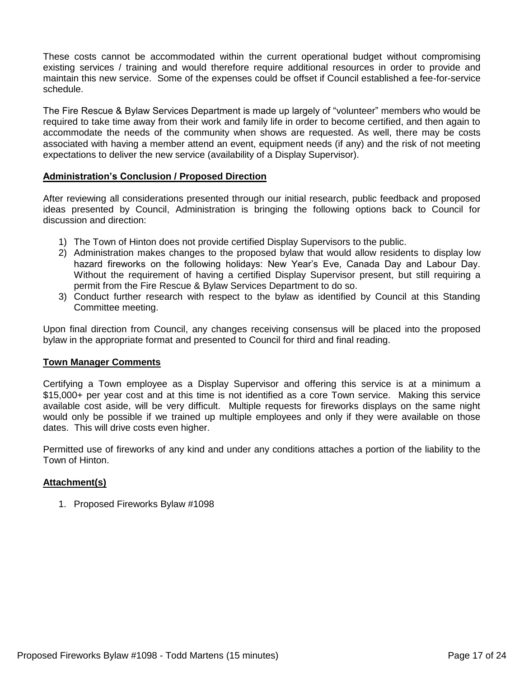These costs cannot be accommodated within the current operational budget without compromising existing services / training and would therefore require additional resources in order to provide and maintain this new service. Some of the expenses could be offset if Council established a fee-for-service schedule.

The Fire Rescue & Bylaw Services Department is made up largely of "volunteer" members who would be required to take time away from their work and family life in order to become certified, and then again to accommodate the needs of the community when shows are requested. As well, there may be costs associated with having a member attend an event, equipment needs (if any) and the risk of not meeting expectations to deliver the new service (availability of a Display Supervisor).

#### **Administration's Conclusion / Proposed Direction**

After reviewing all considerations presented through our initial research, public feedback and proposed ideas presented by Council, Administration is bringing the following options back to Council for discussion and direction:

- 1) The Town of Hinton does not provide certified Display Supervisors to the public.
- 2) Administration makes changes to the proposed bylaw that would allow residents to display low hazard fireworks on the following holidays: New Year's Eve, Canada Day and Labour Day. Without the requirement of having a certified Display Supervisor present, but still requiring a permit from the Fire Rescue & Bylaw Services Department to do so.
- 3) Conduct further research with respect to the bylaw as identified by Council at this Standing Committee meeting.

Upon final direction from Council, any changes receiving consensus will be placed into the proposed bylaw in the appropriate format and presented to Council for third and final reading.

#### **Town Manager Comments**

Certifying a Town employee as a Display Supervisor and offering this service is at a minimum a \$15,000+ per year cost and at this time is not identified as a core Town service. Making this service available cost aside, will be very difficult. Multiple requests for fireworks displays on the same night would only be possible if we trained up multiple employees and only if they were available on those dates. This will drive costs even higher.

Permitted use of fireworks of any kind and under any conditions attaches a portion of the liability to the Town of Hinton.

#### **Attachment(s)**

1. Proposed Fireworks Bylaw #1098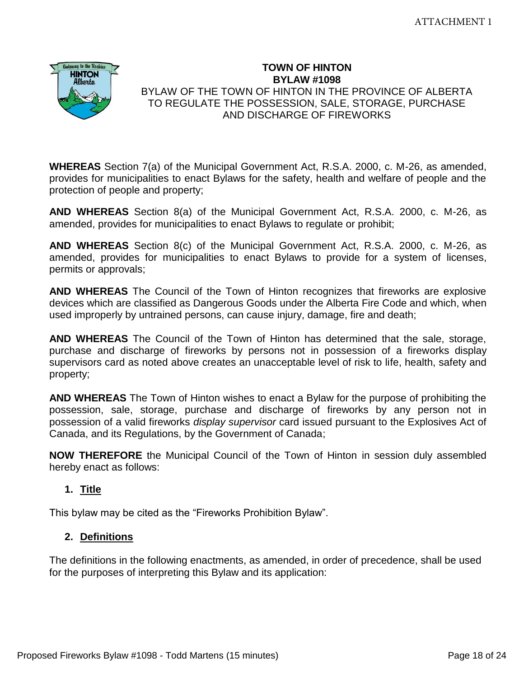

## **TOWN OF HINTON BYLAW #1098**  BYLAW OF THE TOWN OF HINTON IN THE PROVINCE OF ALBERTA TO REGULATE THE POSSESSION, SALE, STORAGE, PURCHASE AND DISCHARGE OF FIREWORKS

**WHEREAS** Section 7(a) of the Municipal Government Act, R.S.A. 2000, c. M-26, as amended, provides for municipalities to enact Bylaws for the safety, health and welfare of people and the protection of people and property;

**AND WHEREAS** Section 8(a) of the Municipal Government Act, R.S.A. 2000, c. M-26, as amended, provides for municipalities to enact Bylaws to regulate or prohibit;

**AND WHEREAS** Section 8(c) of the Municipal Government Act, R.S.A. 2000, c. M-26, as amended, provides for municipalities to enact Bylaws to provide for a system of licenses, permits or approvals;

**AND WHEREAS** The Council of the Town of Hinton recognizes that fireworks are explosive devices which are classified as Dangerous Goods under the Alberta Fire Code and which, when used improperly by untrained persons, can cause injury, damage, fire and death;

**AND WHEREAS** The Council of the Town of Hinton has determined that the sale, storage, purchase and discharge of fireworks by persons not in possession of a fireworks display supervisors card as noted above creates an unacceptable level of risk to life, health, safety and property;

**AND WHEREAS** The Town of Hinton wishes to enact a Bylaw for the purpose of prohibiting the possession, sale, storage, purchase and discharge of fireworks by any person not in possession of a valid fireworks *display supervisor* card issued pursuant to the Explosives Act of Canada, and its Regulations, by the Government of Canada;

**NOW THEREFORE** the Municipal Council of the Town of Hinton in session duly assembled hereby enact as follows:

# **1. Title**

This bylaw may be cited as the "Fireworks Prohibition Bylaw".

# **2. Definitions**

The definitions in the following enactments, as amended, in order of precedence, shall be used for the purposes of interpreting this Bylaw and its application: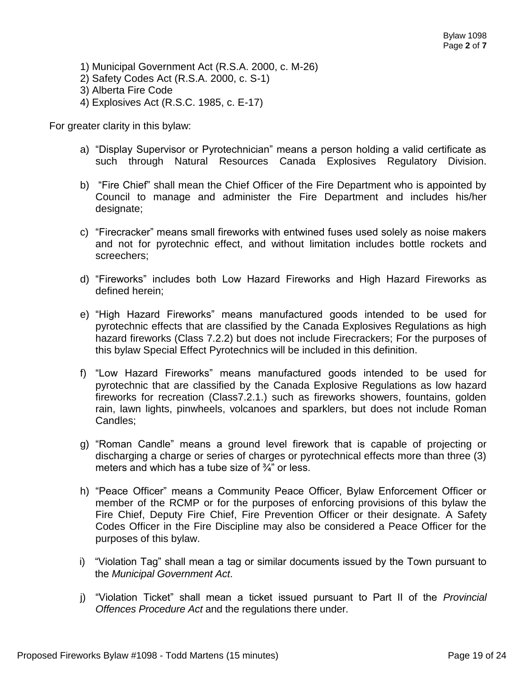- 1) Municipal Government Act (R.S.A. 2000, c. M-26)
- 2) Safety Codes Act (R.S.A. 2000, c. S-1)
- 3) Alberta Fire Code
- 4) Explosives Act (R.S.C. 1985, c. E-17)

For greater clarity in this bylaw:

- a) "Display Supervisor or Pyrotechnician" means a person holding a valid certificate as such through Natural Resources Canada Explosives Regulatory Division.
- b) "Fire Chief" shall mean the Chief Officer of the Fire Department who is appointed by Council to manage and administer the Fire Department and includes his/her designate;
- c) "Firecracker" means small fireworks with entwined fuses used solely as noise makers and not for pyrotechnic effect, and without limitation includes bottle rockets and screechers;
- d) "Fireworks" includes both Low Hazard Fireworks and High Hazard Fireworks as defined herein;
- e) "High Hazard Fireworks" means manufactured goods intended to be used for pyrotechnic effects that are classified by the Canada Explosives Regulations as high hazard fireworks (Class 7.2.2) but does not include Firecrackers; For the purposes of this bylaw Special Effect Pyrotechnics will be included in this definition.
- f) "Low Hazard Fireworks" means manufactured goods intended to be used for pyrotechnic that are classified by the Canada Explosive Regulations as low hazard fireworks for recreation (Class7.2.1.) such as fireworks showers, fountains, golden rain, lawn lights, pinwheels, volcanoes and sparklers, but does not include Roman Candles;
- g) "Roman Candle" means a ground level firework that is capable of projecting or discharging a charge or series of charges or pyrotechnical effects more than three (3) meters and which has a tube size of ¾" or less.
- h) "Peace Officer" means a Community Peace Officer, Bylaw Enforcement Officer or member of the RCMP or for the purposes of enforcing provisions of this bylaw the Fire Chief, Deputy Fire Chief, Fire Prevention Officer or their designate. A Safety Codes Officer in the Fire Discipline may also be considered a Peace Officer for the purposes of this bylaw.
- i) "Violation Tag" shall mean a tag or similar documents issued by the Town pursuant to the *Municipal Government Act*.
- j) "Violation Ticket" shall mean a ticket issued pursuant to Part II of the *Provincial Offences Procedure Act* and the regulations there under.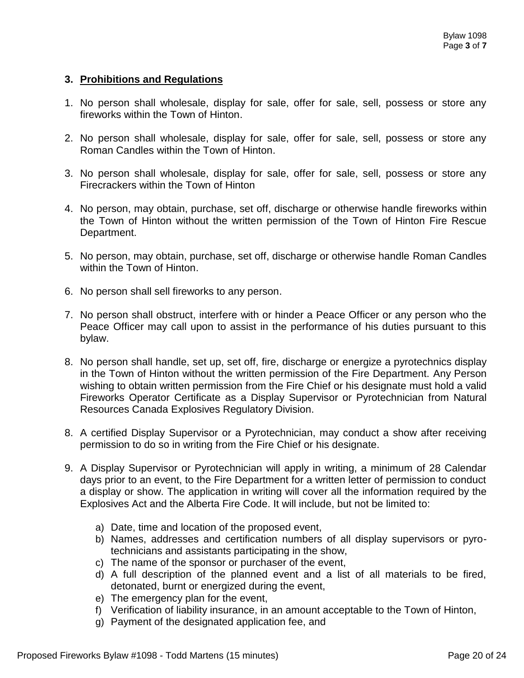## **3. Prohibitions and Regulations**

- 1. No person shall wholesale, display for sale, offer for sale, sell, possess or store any fireworks within the Town of Hinton.
- 2. No person shall wholesale, display for sale, offer for sale, sell, possess or store any Roman Candles within the Town of Hinton.
- 3. No person shall wholesale, display for sale, offer for sale, sell, possess or store any Firecrackers within the Town of Hinton
- 4. No person, may obtain, purchase, set off, discharge or otherwise handle fireworks within the Town of Hinton without the written permission of the Town of Hinton Fire Rescue Department.
- 5. No person, may obtain, purchase, set off, discharge or otherwise handle Roman Candles within the Town of Hinton.
- 6. No person shall sell fireworks to any person.
- 7. No person shall obstruct, interfere with or hinder a Peace Officer or any person who the Peace Officer may call upon to assist in the performance of his duties pursuant to this bylaw.
- 8. No person shall handle, set up, set off, fire, discharge or energize a pyrotechnics display in the Town of Hinton without the written permission of the Fire Department. Any Person wishing to obtain written permission from the Fire Chief or his designate must hold a valid Fireworks Operator Certificate as a Display Supervisor or Pyrotechnician from Natural Resources Canada Explosives Regulatory Division.
- 8. A certified Display Supervisor or a Pyrotechnician, may conduct a show after receiving permission to do so in writing from the Fire Chief or his designate.
- 9. A Display Supervisor or Pyrotechnician will apply in writing, a minimum of 28 Calendar days prior to an event, to the Fire Department for a written letter of permission to conduct a display or show. The application in writing will cover all the information required by the Explosives Act and the Alberta Fire Code. It will include, but not be limited to:
	- a) Date, time and location of the proposed event,
	- b) Names, addresses and certification numbers of all display supervisors or pyrotechnicians and assistants participating in the show,
	- c) The name of the sponsor or purchaser of the event,
	- d) A full description of the planned event and a list of all materials to be fired, detonated, burnt or energized during the event,
	- e) The emergency plan for the event,
	- f) Verification of liability insurance, in an amount acceptable to the Town of Hinton,
	- g) Payment of the designated application fee, and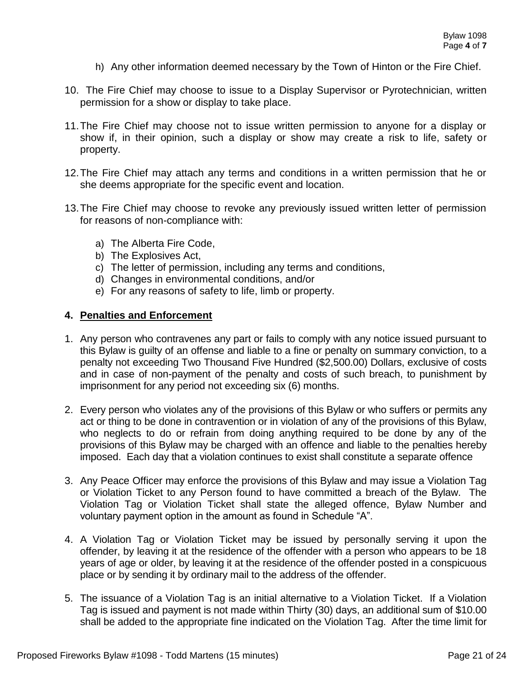- h) Any other information deemed necessary by the Town of Hinton or the Fire Chief.
- 10. The Fire Chief may choose to issue to a Display Supervisor or Pyrotechnician, written permission for a show or display to take place.
- 11.The Fire Chief may choose not to issue written permission to anyone for a display or show if, in their opinion, such a display or show may create a risk to life, safety or property.
- 12.The Fire Chief may attach any terms and conditions in a written permission that he or she deems appropriate for the specific event and location.
- 13.The Fire Chief may choose to revoke any previously issued written letter of permission for reasons of non-compliance with:
	- a) The Alberta Fire Code,
	- b) The Explosives Act,
	- c) The letter of permission, including any terms and conditions,
	- d) Changes in environmental conditions, and/or
	- e) For any reasons of safety to life, limb or property.

## **4. Penalties and Enforcement**

- 1. Any person who contravenes any part or fails to comply with any notice issued pursuant to this Bylaw is guilty of an offense and liable to a fine or penalty on summary conviction, to a penalty not exceeding Two Thousand Five Hundred (\$2,500.00) Dollars, exclusive of costs and in case of non-payment of the penalty and costs of such breach, to punishment by imprisonment for any period not exceeding six (6) months.
- 2. Every person who violates any of the provisions of this Bylaw or who suffers or permits any act or thing to be done in contravention or in violation of any of the provisions of this Bylaw, who neglects to do or refrain from doing anything required to be done by any of the provisions of this Bylaw may be charged with an offence and liable to the penalties hereby imposed. Each day that a violation continues to exist shall constitute a separate offence
- 3. Any Peace Officer may enforce the provisions of this Bylaw and may issue a Violation Tag or Violation Ticket to any Person found to have committed a breach of the Bylaw. The Violation Tag or Violation Ticket shall state the alleged offence, Bylaw Number and voluntary payment option in the amount as found in Schedule "A".
- 4. A Violation Tag or Violation Ticket may be issued by personally serving it upon the offender, by leaving it at the residence of the offender with a person who appears to be 18 years of age or older, by leaving it at the residence of the offender posted in a conspicuous place or by sending it by ordinary mail to the address of the offender.
- 5. The issuance of a Violation Tag is an initial alternative to a Violation Ticket. If a Violation Tag is issued and payment is not made within Thirty (30) days, an additional sum of \$10.00 shall be added to the appropriate fine indicated on the Violation Tag. After the time limit for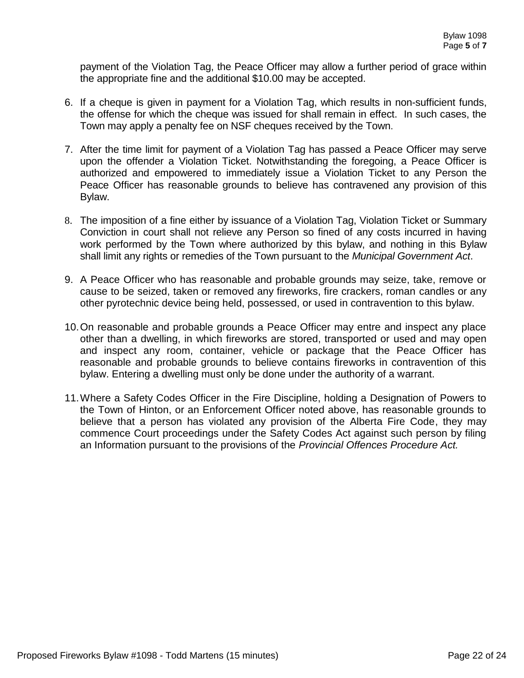payment of the Violation Tag, the Peace Officer may allow a further period of grace within the appropriate fine and the additional \$10.00 may be accepted.

- 6. If a cheque is given in payment for a Violation Tag, which results in non-sufficient funds, the offense for which the cheque was issued for shall remain in effect. In such cases, the Town may apply a penalty fee on NSF cheques received by the Town.
- 7. After the time limit for payment of a Violation Tag has passed a Peace Officer may serve upon the offender a Violation Ticket. Notwithstanding the foregoing, a Peace Officer is authorized and empowered to immediately issue a Violation Ticket to any Person the Peace Officer has reasonable grounds to believe has contravened any provision of this Bylaw.
- 8. The imposition of a fine either by issuance of a Violation Tag, Violation Ticket or Summary Conviction in court shall not relieve any Person so fined of any costs incurred in having work performed by the Town where authorized by this bylaw, and nothing in this Bylaw shall limit any rights or remedies of the Town pursuant to the *Municipal Government Act*.
- 9. A Peace Officer who has reasonable and probable grounds may seize, take, remove or cause to be seized, taken or removed any fireworks, fire crackers, roman candles or any other pyrotechnic device being held, possessed, or used in contravention to this bylaw.
- 10.On reasonable and probable grounds a Peace Officer may entre and inspect any place other than a dwelling, in which fireworks are stored, transported or used and may open and inspect any room, container, vehicle or package that the Peace Officer has reasonable and probable grounds to believe contains fireworks in contravention of this bylaw. Entering a dwelling must only be done under the authority of a warrant.
- 11.Where a Safety Codes Officer in the Fire Discipline, holding a Designation of Powers to the Town of Hinton, or an Enforcement Officer noted above, has reasonable grounds to believe that a person has violated any provision of the Alberta Fire Code, they may commence Court proceedings under the Safety Codes Act against such person by filing an Information pursuant to the provisions of the *Provincial Offences Procedure Act.*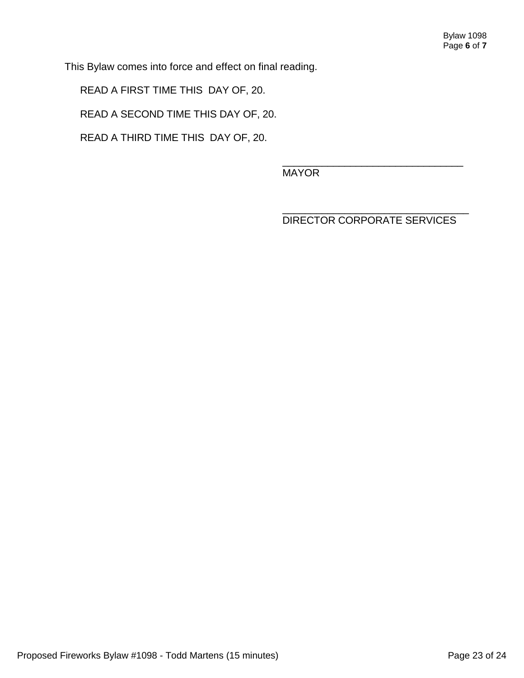This Bylaw comes into force and effect on final reading.

READ A FIRST TIME THIS DAY OF, 20.

READ A SECOND TIME THIS DAY OF, 20.

READ A THIRD TIME THIS DAY OF, 20.

\_\_\_\_\_\_\_\_\_\_\_\_\_\_\_\_\_\_\_\_\_\_\_\_\_\_\_\_\_\_\_\_ MAYOR

\_\_\_\_\_\_\_\_\_\_\_\_\_\_\_\_\_\_\_\_\_\_\_\_\_\_\_\_\_\_\_\_\_ DIRECTOR CORPORATE SERVICES